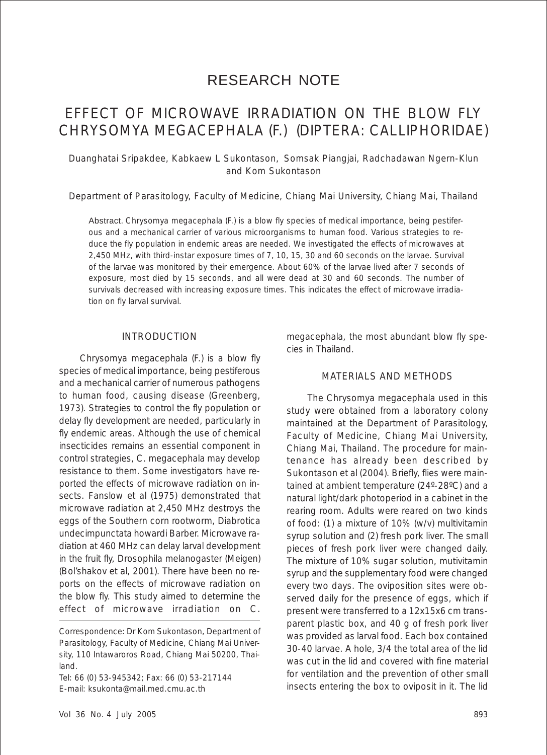# RESEARCH NOTE

# EFFECT OF MICROWAVE IRRADIATION ON THE BLOW FLY *CHRYSOMYA MEGACEPHALA* (F.) (DIPTERA: CALLIPHORIDAE)

Duanghatai Sripakdee, Kabkaew L Sukontason, Somsak Piangjai, Radchadawan Ngern-Klun and Kom Sukontason

Department of Parasitology, Faculty of Medicine, Chiang Mai University, Chiang Mai, Thailand

Abstract. *Chrysomya megacephala* (F.) is a blow fly species of medical importance, being pestiferous and a mechanical carrier of various microorganisms to human food. Various strategies to reduce the fly population in endemic areas are needed. We investigated the effects of microwaves at 2,450 MHz, with third-instar exposure times of 7, 10, 15, 30 and 60 seconds on the larvae. Survival of the larvae was monitored by their emergence. About 60% of the larvae lived after 7 seconds of exposure, most died by 15 seconds, and all were dead at 30 and 60 seconds. The number of survivals decreased with increasing exposure times. This indicates the effect of microwave irradiation on fly larval survival.

#### INTRODUCTION

*Chrysomya megacephala* (F.) is a blow fly species of medical importance, being pestiferous and a mechanical carrier of numerous pathogens to human food, causing disease (Greenberg, 1973). Strategies to control the fly population or delay fly development are needed, particularly in fly endemic areas. Although the use of chemical insecticides remains an essential component in control strategies, *C. megacephala* may develop resistance to them. Some investigators have reported the effects of microwave radiation on insects. Fanslow *et al* (1975) demonstrated that microwave radiation at 2,450 MHz destroys the eggs of the Southern corn rootworm, *Diabrotica undecimpunctata howardi* Barber. Microwave radiation at 460 MHz can delay larval development in the fruit fly, *Drosophila melanogaster* (Meigen) (Bol'shakov *et al*, 2001). There have been no reports on the effects of microwave radiation on the blow fly. This study aimed to determine the effect of microwave irradiation on *C.*

Tel: 66 (0) 53-945342; Fax: 66 (0) 53-217144 E-mail: ksukonta@mail.med.cmu.ac.th

Chiang Mai, Thailand. The procedure for main-

cies in Thailand.

tenance has already been described by Sukontason *et al* (2004). Briefly, flies were maintained at ambient temperature (24º-28ºC) and a natural light/dark photoperiod in a cabinet in the rearing room. Adults were reared on two kinds of food: (1) a mixture of 10% (w/v) multivitamin syrup solution and (2) fresh pork liver. The small pieces of fresh pork liver were changed daily. The mixture of 10% sugar solution, mutivitamin syrup and the supplementary food were changed every two days. The oviposition sites were observed daily for the presence of eggs, which if present were transferred to a 12x15x6 cm transparent plastic box, and 40 g of fresh pork liver was provided as larval food. Each box contained 30-40 larvae. A hole, 3/4 the total area of the lid was cut in the lid and covered with fine material for ventilation and the prevention of other small insects entering the box to oviposit in it. The lid

*megacephala*, the most abundant blow fly spe-

MATERIALS AND METHODS

The *Chrysomya megacephala* used in this study were obtained from a laboratory colony maintained at the Department of Parasitology, Faculty of Medicine, Chiang Mai University,

Correspondence: Dr Kom Sukontason, Department of Parasitology, Faculty of Medicine, Chiang Mai University, 110 Intawaroros Road, Chiang Mai 50200, Thailand.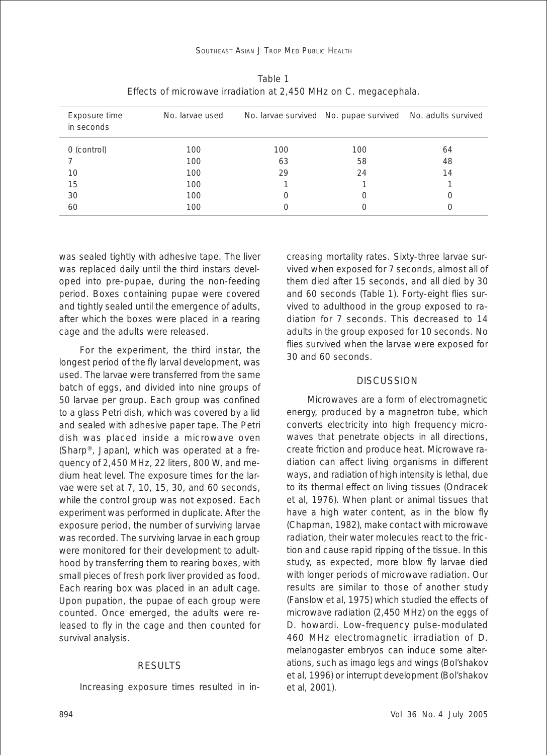| Exposure time<br>in seconds | No. larvae used |     | No. larvae survived No. pupae survived No. adults survived |    |
|-----------------------------|-----------------|-----|------------------------------------------------------------|----|
| 0 (control)                 | 100             | 100 | 100                                                        | 64 |
|                             | 100             | 63  | 58                                                         | 48 |
| 10                          | 100             | 29  | 24                                                         | 14 |
| 15                          | 100             |     |                                                            |    |
| 30                          | 100             |     |                                                            |    |
| 60                          | 100             |     |                                                            |    |

Table 1 Effects of microwave irradiation at 2,450 MHz on *C. megacephala*.

was sealed tightly with adhesive tape. The liver was replaced daily until the third instars developed into pre-pupae, during the non-feeding period. Boxes containing pupae were covered and tightly sealed until the emergence of adults, after which the boxes were placed in a rearing cage and the adults were released.

For the experiment, the third instar, the longest period of the fly larval development, was used. The larvae were transferred from the same batch of eggs, and divided into nine groups of 50 larvae per group. Each group was confined to a glass Petri dish, which was covered by a lid and sealed with adhesive paper tape. The Petri dish was placed inside a microwave oven (Sharp®, Japan), which was operated at a frequency of 2,450 MHz, 22 liters, 800 W, and medium heat level. The exposure times for the larvae were set at 7, 10, 15, 30, and 60 seconds, while the control group was not exposed. Each experiment was performed in duplicate. After the exposure period, the number of surviving larvae was recorded. The surviving larvae in each group were monitored for their development to adulthood by transferring them to rearing boxes, with small pieces of fresh pork liver provided as food. Each rearing box was placed in an adult cage. Upon pupation, the pupae of each group were counted. Once emerged, the adults were released to fly in the cage and then counted for survival analysis.

#### **RESULTS**

Increasing exposure times resulted in in-

creasing mortality rates. Sixty-three larvae survived when exposed for 7 seconds, almost all of them died after 15 seconds, and all died by 30 and 60 seconds (Table 1). Forty-eight flies survived to adulthood in the group exposed to radiation for 7 seconds. This decreased to 14 adults in the group exposed for 10 seconds. No flies survived when the larvae were exposed for 30 and 60 seconds.

#### DISCUSSION

Microwaves are a form of electromagnetic energy, produced by a magnetron tube, which converts electricity into high frequency microwaves that penetrate objects in all directions, create friction and produce heat. Microwave radiation can affect living organisms in different ways, and radiation of high intensity is lethal, due to its thermal effect on living tissues (Ondracek *et al,* 1976). When plant or animal tissues that have a high water content, as in the blow fly (Chapman, 1982), make contact with microwave radiation, their water molecules react to the friction and cause rapid ripping of the tissue. In this study, as expected, more blow fly larvae died with longer periods of microwave radiation. Our results are similar to those of another study (Fanslow *et al*, 1975) which studied the effects of microwave radiation (2,450 MHz) on the eggs of *D. howardi*. Low-frequency pulse-modulated 460 MHz electromagnetic irradiation of *D. melanogaster* embryos can induce some alterations, such as imago legs and wings (Bol'shakov *et al*, 1996) or interrupt development (Bol'shakov *et al*, 2001).